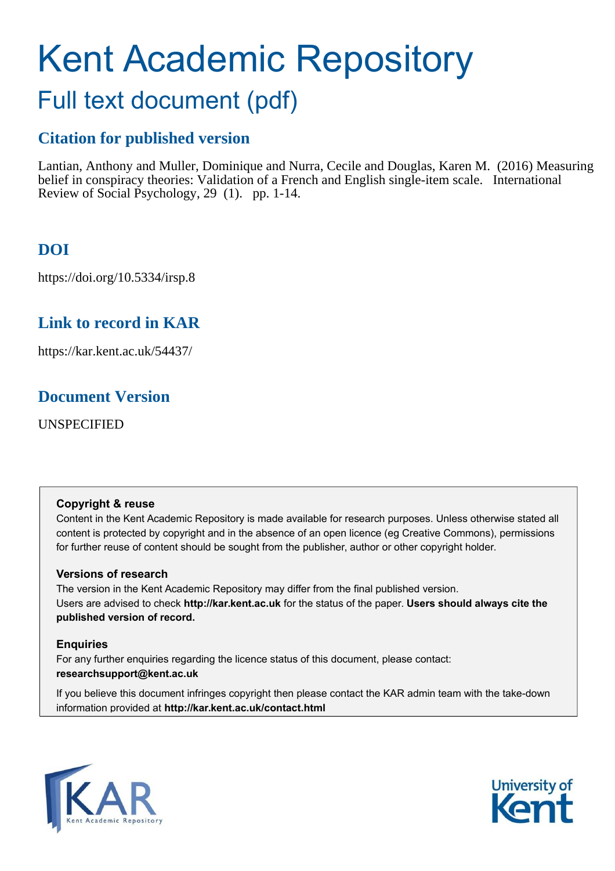# Kent Academic Repository

## Full text document (pdf)

## **Citation for published version**

Lantian, Anthony and Muller, Dominique and Nurra, Cecile and Douglas, Karen M. (2016) Measuring belief in conspiracy theories: Validation of a French and English single-item scale. International Review of Social Psychology, 29 (1). pp. 1-14.

## **DOI**

https://doi.org/10.5334/irsp.8

## **Link to record in KAR**

https://kar.kent.ac.uk/54437/

## **Document Version**

UNSPECIFIED

### **Copyright & reuse**

Content in the Kent Academic Repository is made available for research purposes. Unless otherwise stated all content is protected by copyright and in the absence of an open licence (eg Creative Commons), permissions for further reuse of content should be sought from the publisher, author or other copyright holder.

### **Versions of research**

The version in the Kent Academic Repository may differ from the final published version. Users are advised to check **http://kar.kent.ac.uk** for the status of the paper. **Users should always cite the published version of record.**

### **Enquiries**

For any further enquiries regarding the licence status of this document, please contact: **researchsupport@kent.ac.uk**

If you believe this document infringes copyright then please contact the KAR admin team with the take-down information provided at **http://kar.kent.ac.uk/contact.html**



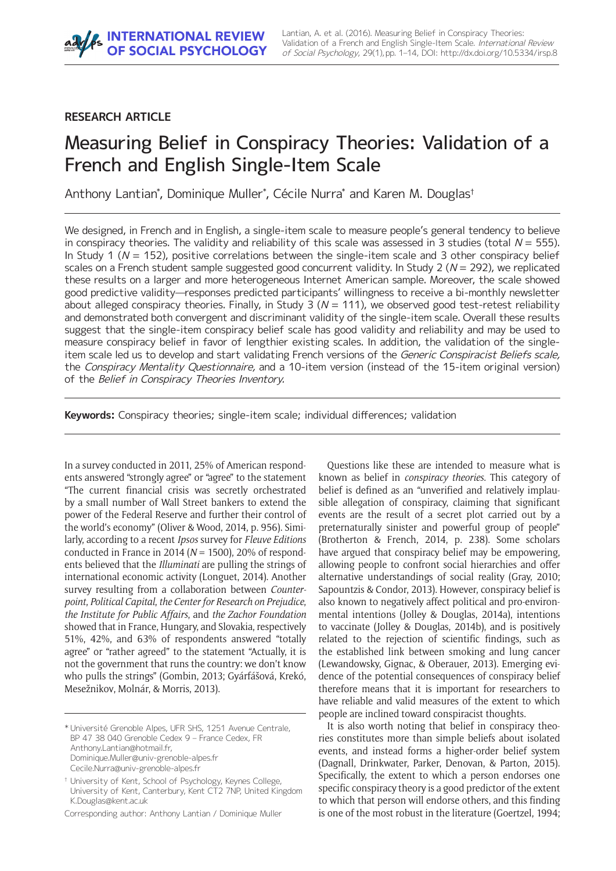#### **RESEARCH ARTICLE**

## Measuring Belief in Conspiracy Theories: Validation of a French and English Single-Item Scale

Anthony Lantian\*, Dominique Muller\*, Cécile Nurra\* and Karen M. Douglas†

We designed, in French and in English, a single-item scale to measure people's general tendency to believe in conspiracy theories. The validity and reliability of this scale was assessed in 3 studies (total  $N = 555$ ). In Study 1 ( $N = 152$ ), positive correlations between the single-item scale and 3 other conspiracy belief scales on a French student sample suggested good concurrent validity. In Study 2 ( $N = 292$ ), we replicated these results on a larger and more heterogeneous Internet American sample. Moreover, the scale showed good predictive validity—responses predicted participants' willingness to receive a bi-monthly newsletter about alleged conspiracy theories. Finally, in Study 3 ( $N = 111$ ), we observed good test-retest reliability and demonstrated both convergent and discriminant validity of the single-item scale. Overall these results suggest that the single-item conspiracy belief scale has good validity and reliability and may be used to measure conspiracy belief in favor of lengthier existing scales. In addition, the validation of the singleitem scale led us to develop and start validating French versions of the Generic Conspiracist Beliefs scale, the Conspiracy Mentality Questionnaire, and a 10-item version (instead of the 15-item original version) of the Belief in Conspiracy Theories Inventory.

**Keywords:** Conspiracy theories; single-item scale; individual differences; validation

In a survey conducted in 2011, 25% of American respondents answered "strongly agree" or "agree" to the statement ìThe current financial crisis was secretly orchestrated by a small number of Wall Street bankers to extend the power of the Federal Reserve and further their control of the world's economy" (Oliver & Wood, 2014, p. 956). Similarly, according to a recent *Ipsos* survey for *Fleuve Editions* conducted in France in 2014 (*N* = 1500), 20% of respondents believed that the *Illuminati* are pulling the strings of international economic activity (Longuet, 2014). Another survey resulting from a collaboration between *Counterpoint*, *Political Capital*, *the Center for Research on Prejudice*, *the Institute for Public Affairs*, and *the Zachor Foundation* showed that in France, Hungary, and Slovakia, respectively 51%, 42%, and 63% of respondents answered "totally agree" or "rather agreed" to the statement "Actually, it is not the government that runs the country: we don't know who pulls the strings" (Gombin, 2013; Gyárfášová, Krekó, Mesežnikov, Molnár, & Morris, 2013).

\* UniversitÈ Grenoble Alpes, UFR SHS, 1251 Avenue Centrale, BP 47 38 040 Grenoble Cedex 9 - France Cedex, FR [Anthony.Lantian@hotmail.fr,](mailto:Anthony.Lantian@hotmail.fr) [Dominique.Muller@univ-grenoble-alpes.fr](mailto:Dominique.Muller@univ-grenoble-alpes.fr) [Cecile.Nurra@univ-grenoble-alpes.fr](mailto:Cecile.Nurra@univ-grenoble-alpes.fr)

Corresponding author: Anthony Lantian / Dominique Muller

Questions like these are intended to measure what is known as belief in *conspiracy theories*. This category of belief is defined as an "unverified and relatively implausible allegation of conspiracy, claiming that significant events are the result of a secret plot carried out by a preternaturally sinister and powerful group of people" (Brotherton & French, 2014, p. 238). Some scholars have argued that conspiracy belief may be empowering, allowing people to confront social hierarchies and offer alternative understandings of social reality (Gray, 2010; Sapountzis & Condor, 2013). However, conspiracy belief is also known to negatively affect political and pro-environmental intentions (Jolley & Douglas, 2014a), intentions to vaccinate (Jolley & Douglas, 2014b), and is positively related to the rejection of scientific findings, such as the established link between smoking and lung cancer (Lewandowsky, Gignac, & Oberauer, 2013). Emerging evidence of the potential consequences of conspiracy belief therefore means that it is important for researchers to have reliable and valid measures of the extent to which people are inclined toward conspiracist thoughts.

It is also worth noting that belief in conspiracy theories constitutes more than simple beliefs about isolated events, and instead forms a higher-order belief system (Dagnall, Drinkwater, Parker, Denovan, & Parton, 2015). Specifically, the extent to which a person endorses one specific conspiracy theory is a good predictor of the extent to which that person will endorse others, and this finding is one of the most robust in the literature (Goertzel, 1994;

<sup>&</sup>lt;sup>†</sup> University of Kent, School of Psychology, Keynes College, University of Kent, Canterbury, Kent CT2 7NP, United Kingdom [K.Douglas@kent.ac.uk](mailto:K.Douglas@kent.ac.uk)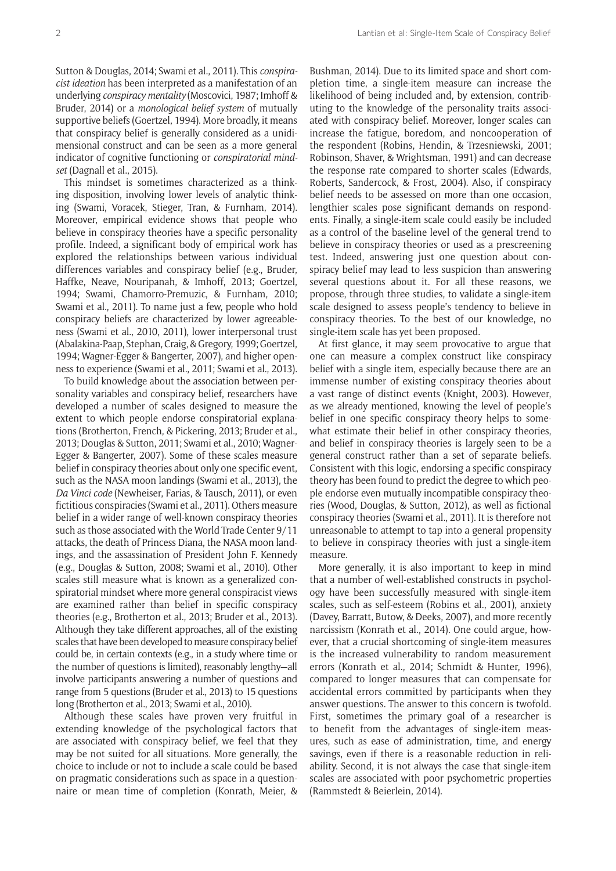Sutton & Douglas, 2014; Swami et al., 2011). This *conspiracist ideation* has been interpreted as a manifestation of an underlying *conspiracy mentality* (Moscovici, 1987; Imhoff & Bruder, 2014) or a *monological belief system* of mutually supportive beliefs (Goertzel, 1994). More broadly, it means that conspiracy belief is generally considered as a unidimensional construct and can be seen as a more general indicator of cognitive functioning or *conspiratorial mindset* (Dagnall et al., 2015).

This mindset is sometimes characterized as a thinking disposition, involving lower levels of analytic thinking (Swami, Voracek, Stieger, Tran, & Furnham, 2014). Moreover, empirical evidence shows that people who believe in conspiracy theories have a specific personality profile. Indeed, a significant body of empirical work has explored the relationships between various individual differences variables and conspiracy belief (e.g., Bruder, Haffke, Neave, Nouripanah, & Imhoff, 2013; Goertzel, 1994; Swami, Chamorro-Premuzic, & Furnham, 2010; Swami et al., 2011). To name just a few, people who hold conspiracy beliefs are characterized by lower agreeableness (Swami et al., 2010, 2011), lower interpersonal trust (Abalakina-Paap, Stephan, Craig, & Gregory, 1999; Goertzel, 1994; Wagner-Egger & Bangerter, 2007), and higher openness to experience (Swami et al., 2011; Swami et al., 2013).

To build knowledge about the association between personality variables and conspiracy belief, researchers have developed a number of scales designed to measure the extent to which people endorse conspiratorial explanations (Brotherton, French, & Pickering, 2013; Bruder et al., 2013; Douglas & Sutton, 2011; Swami et al., 2010; Wagner-Egger & Bangerter, 2007). Some of these scales measure belief in conspiracy theories about only one specific event, such as the NASA moon landings (Swami et al., 2013), the *Da Vinci code* (Newheiser, Farias, & Tausch, 2011), or even fictitious conspiracies (Swami et al., 2011). Others measure belief in a wider range of well-known conspiracy theories such as those associated with the World Trade Center 9/11 attacks, the death of Princess Diana, the NASA moon landings, and the assassination of President John F. Kennedy (e.g., Douglas & Sutton, 2008; Swami et al., 2010). Other scales still measure what is known as a generalized conspiratorial mindset where more general conspiracist views are examined rather than belief in specific conspiracy theories (e.g., Brotherton et al., 2013; Bruder et al., 2013). Although they take different approaches, all of the existing scales that have been developed to measure conspiracy belief could be, in certain contexts (e.g., in a study where time or the number of questions is limited), reasonably lengthy-all involve participants answering a number of questions and range from 5 questions (Bruder et al., 2013) to 15 questions long (Brotherton et al., 2013; Swami et al., 2010).

Although these scales have proven very fruitful in extending knowledge of the psychological factors that are associated with conspiracy belief, we feel that they may be not suited for all situations. More generally, the choice to include or not to include a scale could be based on pragmatic considerations such as space in a questionnaire or mean time of completion (Konrath, Meier, &

Bushman, 2014). Due to its limited space and short completion time, a single-item measure can increase the likelihood of being included and, by extension, contributing to the knowledge of the personality traits associated with conspiracy belief. Moreover, longer scales can increase the fatigue, boredom, and noncooperation of the respondent (Robins, Hendin, & Trzesniewski, 2001; Robinson, Shaver, & Wrightsman, 1991) and can decrease the response rate compared to shorter scales (Edwards, Roberts, Sandercock, & Frost, 2004). Also, if conspiracy belief needs to be assessed on more than one occasion, lengthier scales pose significant demands on respondents. Finally, a single-item scale could easily be included as a control of the baseline level of the general trend to believe in conspiracy theories or used as a prescreening test. Indeed, answering just one question about conspiracy belief may lead to less suspicion than answering several questions about it. For all these reasons, we propose, through three studies, to validate a single-item scale designed to assess people's tendency to believe in conspiracy theories. To the best of our knowledge, no single-item scale has yet been proposed.

At first glance, it may seem provocative to argue that one can measure a complex construct like conspiracy belief with a single item, especially because there are an immense number of existing conspiracy theories about a vast range of distinct events (Knight, 2003). However, as we already mentioned, knowing the level of people's belief in one specific conspiracy theory helps to somewhat estimate their belief in other conspiracy theories, and belief in conspiracy theories is largely seen to be a general construct rather than a set of separate beliefs. Consistent with this logic, endorsing a specific conspiracy theory has been found to predict the degree to which people endorse even mutually incompatible conspiracy theories (Wood, Douglas, & Sutton, 2012), as well as fictional conspiracy theories (Swami et al., 2011). It is therefore not unreasonable to attempt to tap into a general propensity to believe in conspiracy theories with just a single-item measure.

More generally, it is also important to keep in mind that a number of well-established constructs in psychology have been successfully measured with single-item scales, such as self-esteem (Robins et al., 2001), anxiety (Davey, Barratt, Butow, & Deeks, 2007), and more recently narcissism (Konrath et al., 2014). One could argue, however, that a crucial shortcoming of single-item measures is the increased vulnerability to random measurement errors (Konrath et al., 2014; Schmidt & Hunter, 1996), compared to longer measures that can compensate for accidental errors committed by participants when they answer questions. The answer to this concern is twofold. First, sometimes the primary goal of a researcher is to benefit from the advantages of single-item measures, such as ease of administration, time, and energy savings, even if there is a reasonable reduction in reliability. Second, it is not always the case that single-item scales are associated with poor psychometric properties (Rammstedt & Beierlein, 2014).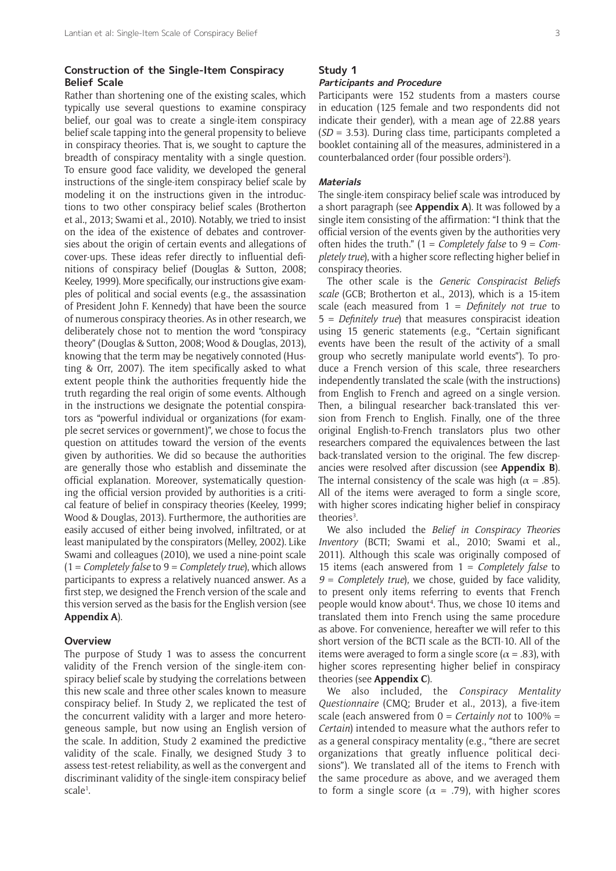#### **Construction of the Single-Item Conspiracy Belief Scale**

Rather than shortening one of the existing scales, which typically use several questions to examine conspiracy belief, our goal was to create a single-item conspiracy belief scale tapping into the general propensity to believe in conspiracy theories. That is, we sought to capture the breadth of conspiracy mentality with a single question. To ensure good face validity, we developed the general instructions of the single-item conspiracy belief scale by modeling it on the instructions given in the introductions to two other conspiracy belief scales (Brotherton et al., 2013; Swami et al., 2010). Notably, we tried to insist on the idea of the existence of debates and controversies about the origin of certain events and allegations of cover-ups. These ideas refer directly to influential definitions of conspiracy belief (Douglas & Sutton, 2008; Keeley, 1999). More specifically, our instructions give examples of political and social events (e.g., the assassination of President John F. Kennedy) that have been the source of numerous conspiracy theories. As in other research, we deliberately chose not to mention the word "conspiracy theory" (Douglas & Sutton, 2008; Wood & Douglas, 2013), knowing that the term may be negatively connoted (Husting & Orr, 2007). The item specifically asked to what extent people think the authorities frequently hide the truth regarding the real origin of some events. Although in the instructions we designate the potential conspirators as "powerful individual or organizations (for example secret services or government)", we chose to focus the question on attitudes toward the version of the events given by authorities. We did so because the authorities are generally those who establish and disseminate the official explanation. Moreover, systematically questioning the official version provided by authorities is a critical feature of belief in conspiracy theories (Keeley, 1999; Wood & Douglas, 2013). Furthermore, the authorities are easily accused of either being involved, infiltrated, or at least manipulated by the conspirators (Melley, 2002). Like Swami and colleagues (2010), we used a nine-point scale (1 = *Completely false* to 9 = *Completely true*), which allows participants to express a relatively nuanced answer. As a first step, we designed the French version of the scale and this version served as the basis for the English version (see **[Appendix A](https://s3-eu-west-1.amazonaws.com/ubiquity-partner-network/up/journal/rips/irsp-8_lantian-appendixes.pdf)**).

#### **Overview**

The purpose of Study 1 was to assess the concurrent validity of the French version of the single-item conspiracy belief scale by studying the correlations between this new scale and three other scales known to measure conspiracy belief. In Study 2, we replicated the test of the concurrent validity with a larger and more heterogeneous sample, but now using an English version of the scale. In addition, Study 2 examined the predictive validity of the scale. Finally, we designed Study 3 to assess test-retest reliability, as well as the convergent and discriminant validity of the single-item conspiracy belief scale<sup>1</sup>.

## **Study 1**

#### **Participants and Procedure**

Participants were 152 students from a masters course in education (125 female and two respondents did not indicate their gender), with a mean age of 22.88 years (*SD =* 3.53). During class time, participants completed a booklet containing all of the measures, administered in a counterbalanced order (four possible orders<sup>2</sup>).

#### **Materials**

The single-item conspiracy belief scale was introduced by a short paragraph (see **[Appendix A](https://s3-eu-west-1.amazonaws.com/ubiquity-partner-network/up/journal/rips/irsp-8_lantian-appendixes.pdf)**). It was followed by a single item consisting of the affirmation: "I think that the official version of the events given by the authorities very often hides the truth.î (1 = *Completely false* to 9 = *Completely true*), with a higher score reflecting higher belief in conspiracy theories.

The other scale is the *Generic Conspiracist Beliefs scale* (GCB; Brotherton et al., 2013), which is a 15-item scale (each measured from 1 = *Definitely not true* to 5 = *Deinitely true*) that measures conspiracist ideation using 15 generic statements (e.g., "Certain significant events have been the result of the activity of a small group who secretly manipulate world events"). To produce a French version of this scale, three researchers independently translated the scale (with the instructions) from English to French and agreed on a single version. Then, a bilingual researcher back-translated this version from French to English. Finally, one of the three original English-to-French translators plus two other researchers compared the equivalences between the last back-translated version to the original. The few discrepancies were resolved after discussion (see **[Appendix B](https://s3-eu-west-1.amazonaws.com/ubiquity-partner-network/up/journal/rips/irsp-8_lantian-appendixes.pdf)**). The internal consistency of the scale was high ( $\alpha = .85$ ). All of the items were averaged to form a single score, with higher scores indicating higher belief in conspiracy theories<sup>3</sup>.

We also included the *Belief in Conspiracy Theories Inventory* (BCTI; Swami et al., 2010; Swami et al., 2011). Although this scale was originally composed of 15 items (each answered from 1 = *Completely false* to *9 = Completely true*), we chose, guided by face validity, to present only items referring to events that French people would know about<sup>4</sup>. Thus, we chose 10 items and translated them into French using the same procedure as above. For convenience, hereafter we will refer to this short version of the BCTI scale as the BCTI-10. All of the items were averaged to form a single score ( $\alpha$  = .83), with higher scores representing higher belief in conspiracy theories (see **[Appendix C](https://s3-eu-west-1.amazonaws.com/ubiquity-partner-network/up/journal/rips/irsp-8_lantian-appendixes.pdf)**).

We also included, the *Conspiracy Mentality Questionnaire* (CMQ; Bruder et al., 2013), a five-item scale (each answered from 0 = *Certainly not* to 100% = *Certain*) intended to measure what the authors refer to as a general conspiracy mentality (e.g., "there are secret organizations that greatly influence political decisions"). We translated all of the items to French with the same procedure as above, and we averaged them to form a single score ( $\alpha$  = .79), with higher scores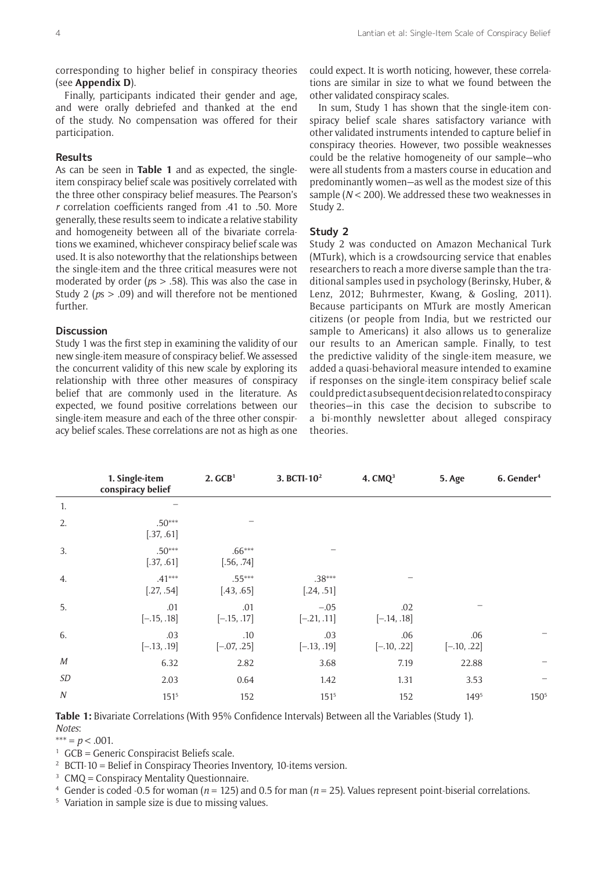corresponding to higher belief in conspiracy theories (see **[Appendix D](https://s3-eu-west-1.amazonaws.com/ubiquity-partner-network/up/journal/rips/irsp-8_lantian-appendixes.pdf)**).

Finally, participants indicated their gender and age, and were orally debriefed and thanked at the end of the study. No compensation was offered for their participation.

#### **Results**

As can be seen in **Table 1** and as expected, the singleitem conspiracy belief scale was positively correlated with the three other conspiracy belief measures. The Pearson's *r* correlation coefficients ranged from .41 to .50. More generally, these results seem to indicate a relative stability and homogeneity between all of the bivariate correlations we examined, whichever conspiracy belief scale was used. It is also noteworthy that the relationships between the single-item and the three critical measures were not moderated by order (*p*s > .58). This was also the case in Study 2 (*p*s > .09) and will therefore not be mentioned further.

#### **Discussion**

Study 1 was the first step in examining the validity of our new single-item measure of conspiracy belief. We assessed the concurrent validity of this new scale by exploring its relationship with three other measures of conspiracy belief that are commonly used in the literature. As expected, we found positive correlations between our single-item measure and each of the three other conspiracy belief scales. These correlations are not as high as one

could expect. It is worth noticing, however, these correlations are similar in size to what we found between the other validated conspiracy scales.

In sum, Study 1 has shown that the single-item conspiracy belief scale shares satisfactory variance with other validated instruments intended to capture belief in conspiracy theories. However, two possible weaknesses could be the relative homogeneity of our sample–who were all students from a masters course in education and predominantly women-as well as the modest size of this sample (*N* < 200). We addressed these two weaknesses in Study 2.

#### **Study 2**

Study 2 was conducted on Amazon Mechanical Turk (MTurk), which is a crowdsourcing service that enables researchers to reach a more diverse sample than the traditional samples used in psychology (Berinsky, Huber, & Lenz, 2012; Buhrmester, Kwang, & Gosling, 2011). Because participants on MTurk are mostly American citizens (or people from India, but we restricted our sample to Americans) it also allows us to generalize our results to an American sample. Finally, to test the predictive validity of the single-item measure, we added a quasi-behavioral measure intended to examine if responses on the single-item conspiracy belief scale could predict a subsequent decision related to conspiracy theories-in this case the decision to subscribe to a bi-monthly newsletter about alleged conspiracy theories.

|                  | 1. Single-item<br>conspiracy belief | 2. GCB <sup>1</sup>    | 3. BCTI-10 <sup>2</sup> | 4. CMQ <sup>3</sup>  | 5. Age               | 6. Gender <sup>4</sup> |
|------------------|-------------------------------------|------------------------|-------------------------|----------------------|----------------------|------------------------|
| 1.               |                                     |                        |                         |                      |                      |                        |
| 2.               | $.50***$<br>[.37, .61]              |                        |                         |                      |                      |                        |
| 3.               | $.50***$<br>[.37, .61]              | $.66***$<br>[.56, .74] |                         |                      |                      |                        |
| 4.               | $.41***$<br>[.27, .54]              | $.55***$<br>[.43, .65] | $.38***$<br>[.24, .51]  |                      |                      |                        |
| 5.               | .01<br>$[-.15, .18]$                | .01<br>$[-.15, .17]$   | $-.05$<br>$[-.21, .11]$ | .02<br>$[-.14, .18]$ |                      |                        |
| 6.               | .03<br>$[-.13, .19]$                | .10<br>$[-.07, .25]$   | .03<br>$[-.13, .19]$    | .06<br>$[-.10, .22]$ | .06<br>$[-.10, .22]$ |                        |
| М                | 6.32                                | 2.82                   | 3.68                    | 7.19                 | 22.88                |                        |
| SD               | 2.03                                | 0.64                   | 1.42                    | 1.31                 | 3.53                 |                        |
| $\boldsymbol{N}$ | $151^{5}$                           | 152                    | $151^{5}$               | 152                  | 1495                 | $150^{5}$              |

**Table 1:** Bivariate Correlations (With 95% Confidence Intervals) Between all the Variables (Study 1). *Notes*:

 $*** = p < .001$ .

- $1\text{ GCB}$  = Generic Conspiracist Beliefs scale.
- <sup>2</sup> BCTI-10 = Belief in Conspiracy Theories Inventory, 10-items version.
- $3$  CMQ = Conspiracy Mentality Questionnaire.
- <sup>4</sup> Gender is coded -0.5 for woman ( $n = 125$ ) and 0.5 for man ( $n = 25$ ). Values represent point-biserial correlations.
- <sup>5</sup> Variation in sample size is due to missing values.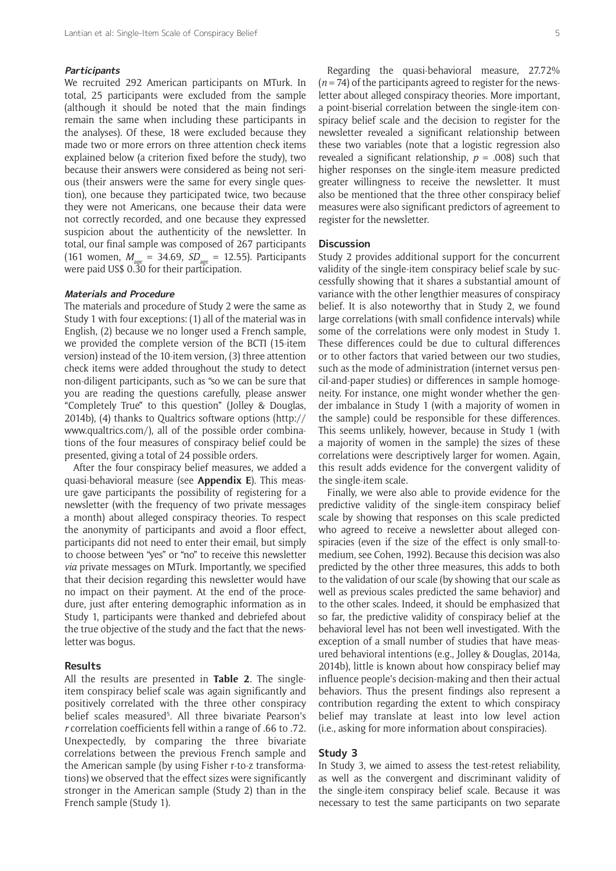#### **Participants**

We recruited 292 American participants on MTurk. In total, 25 participants were excluded from the sample (although it should be noted that the main findings remain the same when including these participants in the analyses). Of these, 18 were excluded because they made two or more errors on three attention check items explained below (a criterion fixed before the study), two because their answers were considered as being not serious (their answers were the same for every single question), one because they participated twice, two because they were not Americans, one because their data were not correctly recorded, and one because they expressed suspicion about the authenticity of the newsletter. In total, our final sample was composed of 267 participants (161 women,  $M_{\text{age}} = 34.69$ ,  $SD_{\text{age}} = 12.55$ ). Participants were paid US\$ 0.30 for their participation.

#### **Materials and Procedure**

The materials and procedure of Study 2 were the same as Study 1 with four exceptions: (1) all of the material was in English, (2) because we no longer used a French sample, we provided the complete version of the BCTI (15-item version) instead of the 10-item version, (3) three attention check items were added throughout the study to detect non-diligent participants, such as "so we can be sure that you are reading the questions carefully, please answer ìCompletely Trueî to this questionî (Jolley & Douglas, 2014b), (4) thanks to Qualtrics software options ([http://](http://www.qualtrics.com/) [www.qualtrics.com/\)](http://www.qualtrics.com/), all of the possible order combinations of the four measures of conspiracy belief could be presented, giving a total of 24 possible orders.

After the four conspiracy belief measures, we added a quasi-behavioral measure (see **[Appendix E](https://s3-eu-west-1.amazonaws.com/ubiquity-partner-network/up/journal/rips/irsp-8_lantian-appendixes.pdf)**). This measure gave participants the possibility of registering for a newsletter (with the frequency of two private messages a month) about alleged conspiracy theories. To respect the anonymity of participants and avoid a floor effect, participants did not need to enter their email, but simply to choose between "yes" or "no" to receive this newsletter *via* private messages on MTurk. Importantly, we specified that their decision regarding this newsletter would have no impact on their payment. At the end of the procedure, just after entering demographic information as in Study 1, participants were thanked and debriefed about the true objective of the study and the fact that the newsletter was bogus.

#### **Results**

All the results are presented in **Table 2**. The singleitem conspiracy belief scale was again significantly and positively correlated with the three other conspiracy belief scales measured<sup>5</sup>. All three bivariate Pearson's *r* correlation coefficients fell within a range of .66 to .72. Unexpectedly, by comparing the three bivariate correlations between the previous French sample and the American sample (by using Fisher r-to-z transformations) we observed that the effect sizes were significantly stronger in the American sample (Study 2) than in the French sample (Study 1).

Regarding the quasi-behavioral measure, 27.72% (*n* = 74) of the participants agreed to register for the newsletter about alleged conspiracy theories. More important, a point-biserial correlation between the single-item conspiracy belief scale and the decision to register for the newsletter revealed a significant relationship between these two variables (note that a logistic regression also revealed a significant relationship,  $p = .008$ ) such that higher responses on the single-item measure predicted greater willingness to receive the newsletter. It must also be mentioned that the three other conspiracy belief measures were also significant predictors of agreement to register for the newsletter.

#### **Discussion**

Study 2 provides additional support for the concurrent validity of the single-item conspiracy belief scale by successfully showing that it shares a substantial amount of variance with the other lengthier measures of conspiracy belief. It is also noteworthy that in Study 2, we found large correlations (with small confidence intervals) while some of the correlations were only modest in Study 1. These differences could be due to cultural differences or to other factors that varied between our two studies, such as the mode of administration (internet versus pencil-and-paper studies) or differences in sample homogeneity. For instance, one might wonder whether the gender imbalance in Study 1 (with a majority of women in the sample) could be responsible for these differences. This seems unlikely, however, because in Study 1 (with a majority of women in the sample) the sizes of these correlations were descriptively larger for women. Again, this result adds evidence for the convergent validity of the single-item scale.

Finally, we were also able to provide evidence for the predictive validity of the single-item conspiracy belief scale by showing that responses on this scale predicted who agreed to receive a newsletter about alleged conspiracies (even if the size of the effect is only small-tomedium, see Cohen, 1992). Because this decision was also predicted by the other three measures, this adds to both to the validation of our scale (by showing that our scale as well as previous scales predicted the same behavior) and to the other scales. Indeed, it should be emphasized that so far, the predictive validity of conspiracy belief at the behavioral level has not been well investigated. With the exception of a small number of studies that have measured behavioral intentions (e.g., Jolley & Douglas, 2014a, 2014b), little is known about how conspiracy belief may influence people's decision-making and then their actual behaviors. Thus the present findings also represent a contribution regarding the extent to which conspiracy belief may translate at least into low level action (i.e., asking for more information about conspiracies).

#### **Study 3**

In Study 3, we aimed to assess the test-retest reliability, as well as the convergent and discriminant validity of the single-item conspiracy belief scale. Because it was necessary to test the same participants on two separate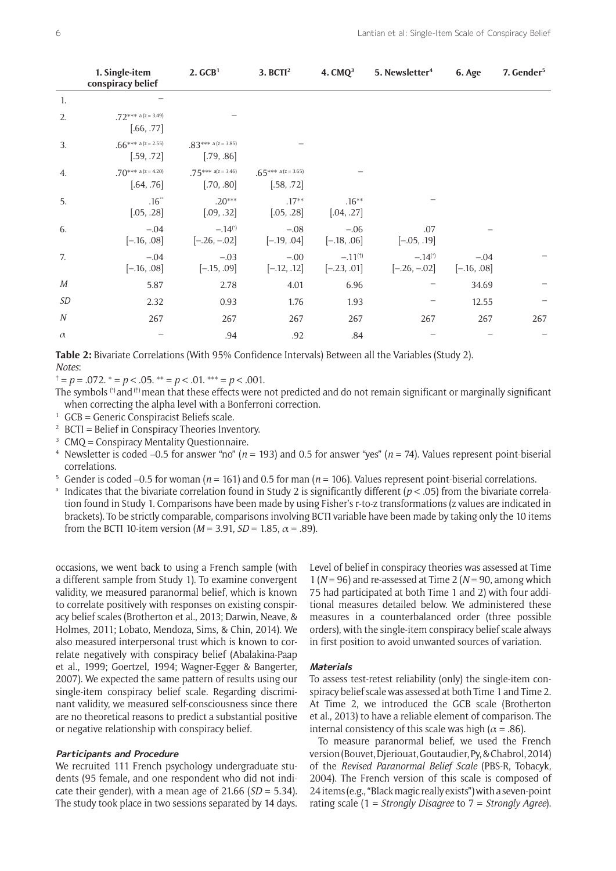|                  | 1. Single-item<br>conspiracy belief | 2. GCB <sup>1</sup>                     | 3. BCTI <sup>2</sup>                | 4. $CMQ3$                     | 5. Newsletter <sup>4</sup>              | 6. Age                  | 7. Gender <sup>5</sup> |
|------------------|-------------------------------------|-----------------------------------------|-------------------------------------|-------------------------------|-----------------------------------------|-------------------------|------------------------|
| 1.               |                                     |                                         |                                     |                               |                                         |                         |                        |
| 2.               | $72*** a (z = 3.49)$<br>[.66, .77]  |                                         |                                     |                               |                                         |                         |                        |
| 3.               | .66*** a (z = 2.55)<br>[.59, .72]   | $.83***$ a (z = 3.85)<br>[.79, .86]     |                                     |                               |                                         |                         |                        |
| 4.               | .70*** a (z = 4.20)<br>[.64, .76]   | $.75***$ a(z = 3.46)<br>[.70, .80]      | $.65***$ a (z = 3.65)<br>[.58, .72] |                               |                                         |                         |                        |
| 5.               | $.16**$<br>[.05, .28]               | $.20***$<br>[.09, .32]                  | $.17**$<br>[.05, .28]               | $.16***$<br>[.04, .27]        |                                         |                         |                        |
| 6.               | $-.04$<br>$[-.16, .08]$             | $-.14$ <sup>(*)</sup><br>$[-.26, -.02]$ | $-.08$<br>$[-.19, .04]$             | $-.06$<br>$[-.18, .06]$       | .07<br>$[-.05, .19]$                    |                         |                        |
| 7.               | $-.04$<br>$[-.16, .08]$             | $-.03$<br>$[-.15, .09]$                 | $-.00$<br>$[-.12, .12]$             | $-.11^{(†)}$<br>$[-.23, .01]$ | $-.14$ <sup>(*)</sup><br>$[-.26, -.02]$ | $-.04$<br>$[-.16, .08]$ |                        |
| М                | 5.87                                | 2.78                                    | 4.01                                | 6.96                          |                                         | 34.69                   |                        |
| SD               | 2.32                                | 0.93                                    | 1.76                                | 1.93                          |                                         | 12.55                   |                        |
| $\boldsymbol{N}$ | 267                                 | 267                                     | 267                                 | 267                           | 267                                     | 267                     | 267                    |
| $\alpha$         |                                     | .94                                     | .92                                 | .84                           |                                         |                         |                        |

**Table 2:** Bivariate Correlations (With 95% Confidence Intervals) Between all the Variables (Study 2). *Notes*:

Ü = *p* = .072. \* = *p* < .05. \*\* = *p* < .01. \*\*\* = *p* < .001.

- The symbols  $(')$  and  $(')$  mean that these effects were not predicted and do not remain significant or marginally significant when correcting the alpha level with a Bonferroni correction.
- $1$  GCB = Generic Conspiracist Beliefs scale.
- <sup>2</sup> BCTI = Belief in Conspiracy Theories Inventory.
- $3$  CMO = Conspiracy Mentality Questionnaire.
- <sup>4</sup> Newsletter is coded −0.5 for answer "no" (*n* = 193) and 0.5 for answer "yes" (*n* = 74). Values represent point-biserial correlations.
- <sup>5</sup>Gender is coded −0.5 for woman (*n* = 161) and 0.5 for man (*n* = 106). Values represent point-biserial correlations.
- <sup>a</sup> Indicates that the bivariate correlation found in Study 2 is significantly different ( $p < .05$ ) from the bivariate correlation found in Study 1. Comparisons have been made by using Fisher's r-to-z transformations (z values are indicated in brackets). To be strictly comparable, comparisons involving BCTI variable have been made by taking only the 10 items from the BCTI 10-item version  $(M = 3.91, SD = 1.85, \alpha = .89)$ .

 occasions, we went back to using a French sample (with a different sample from Study 1). To examine convergent validity, we measured paranormal belief, which is known to correlate positively with responses on existing conspiracy belief scales (Brotherton et al., 2013; Darwin, Neave, & Holmes, 2011; Lobato, Mendoza, Sims, & Chin, 2014). We also measured interpersonal trust which is known to correlate negatively with conspiracy belief (Abalakina-Paap et al., 1999; Goertzel, 1994; Wagner-Egger & Bangerter, 2007). We expected the same pattern of results using our single-item conspiracy belief scale. Regarding discriminant validity, we measured self-consciousness since there are no theoretical reasons to predict a substantial positive or negative relationship with conspiracy belief.

#### **Participants and Procedure**

We recruited 111 French psychology undergraduate students (95 female, and one respondent who did not indicate their gender), with a mean age of 21.66 (*SD =* 5.34). The study took place in two sessions separated by 14 days. Level of belief in conspiracy theories was assessed at Time 1 (*N* = 96) and re-assessed at Time 2 (*N* = 90, among which 75 had participated at both Time 1 and 2) with four additional measures detailed below. We administered these measures in a counterbalanced order (three possible orders), with the single-item conspiracy belief scale always in first position to avoid unwanted sources of variation.

#### **Materials**

To assess test-retest reliability (only) the single-item conspiracy belief scale was assessed at both Time 1 and Time 2. At Time 2, we introduced the GCB scale (Brotherton et al., 2013) to have a reliable element of comparison. The internal consistency of this scale was high ( $\alpha$  = .86).

To measure paranormal belief, we used the French version (Bouvet, Djeriouat, Goutaudier, Py, & Chabrol, 2014) of the *Revised Paranormal Belief Scale* (PBS-R, Tobacyk, 2004). The French version of this scale is composed of  $24$  items (e.g., "Black magic really exists") with a seven-point rating scale (1 = *Strongly Disagree* to 7 = *Strongly Agree*).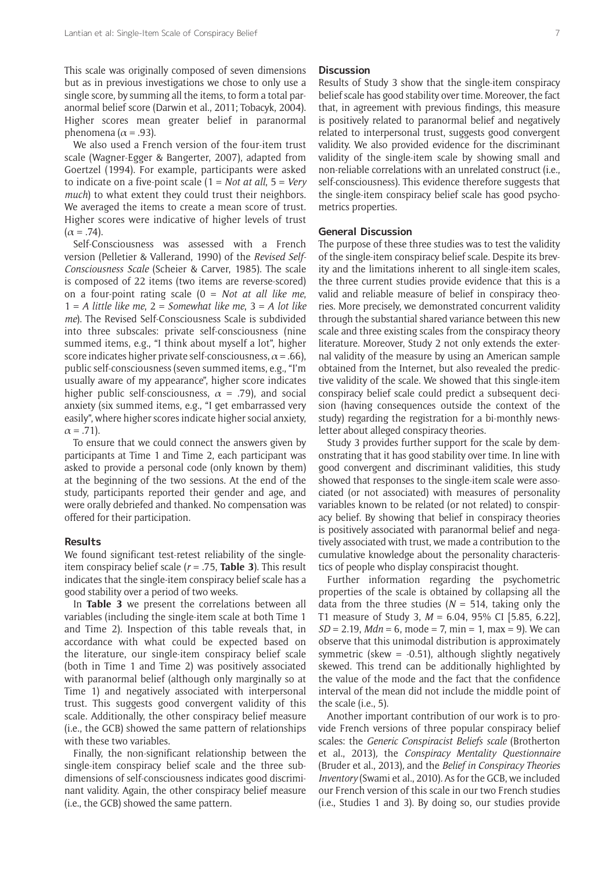This scale was originally composed of seven dimensions but as in previous investigations we chose to only use a single score, by summing all the items, to form a total paranormal belief score (Darwin et al., 2011; Tobacyk, 2004). Higher scores mean greater belief in paranormal phenomena ( $\alpha$  = .93).

We also used a French version of the four-item trust scale (Wagner-Egger & Bangerter, 2007), adapted from Goertzel (1994). For example, participants were asked to indicate on a five-point scale (1 = *Not at all*, 5 = *Very much*) to what extent they could trust their neighbors. We averaged the items to create a mean score of trust. Higher scores were indicative of higher levels of trust  $(\alpha = .74)$ .

Self-Consciousness was assessed with a French version (Pelletier & Vallerand, 1990) of the *Revised Self-Consciousness Scale* (Scheier & Carver, 1985). The scale is composed of 22 items (two items are reverse-scored) on a four-point rating scale (0 = *Not at all like me*, 1 = *A little like me*, 2 = *Somewhat like me*, 3 = *A lot like me*). The Revised Self-Consciousness Scale is subdivided into three subscales: private self-consciousness (nine summed items, e.g., "I think about myself a lot", higher score indicates higher private self-consciousness,  $\alpha$  = .66), public self-consciousness (seven summed items, e.g., "I'm usually aware of my appearance", higher score indicates higher public self-consciousness,  $\alpha$  = .79), and social anxiety (six summed items, e.g., "I get embarrassed very easily", where higher scores indicate higher social anxiety,  $\alpha = .71$ ).

To ensure that we could connect the answers given by participants at Time 1 and Time 2, each participant was asked to provide a personal code (only known by them) at the beginning of the two sessions. At the end of the study, participants reported their gender and age, and were orally debriefed and thanked. No compensation was offered for their participation.

#### **Results**

We found significant test-retest reliability of the singleitem conspiracy belief scale (*r* = .75, **Table 3**). This result indicates that the single-item conspiracy belief scale has a good stability over a period of two weeks.

In **Table 3** we present the correlations between all variables (including the single-item scale at both Time 1 and Time 2). Inspection of this table reveals that, in accordance with what could be expected based on the literature, our single-item conspiracy belief scale (both in Time 1 and Time 2) was positively associated with paranormal belief (although only marginally so at Time 1) and negatively associated with interpersonal trust. This suggests good convergent validity of this scale. Additionally, the other conspiracy belief measure (i.e., the GCB) showed the same pattern of relationships with these two variables.

Finally, the non-significant relationship between the single-item conspiracy belief scale and the three subdimensions of self-consciousness indicates good discriminant validity. Again, the other conspiracy belief measure (i.e., the GCB) showed the same pattern.

#### **Discussion**

Results of Study 3 show that the single-item conspiracy belief scale has good stability over time. Moreover, the fact that, in agreement with previous findings, this measure is positively related to paranormal belief and negatively related to interpersonal trust, suggests good convergent validity. We also provided evidence for the discriminant validity of the single-item scale by showing small and non-reliable correlations with an unrelated construct (i.e., self-consciousness). This evidence therefore suggests that the single-item conspiracy belief scale has good psychometrics properties.

#### **General Discussion**

The purpose of these three studies was to test the validity of the single-item conspiracy belief scale. Despite its brevity and the limitations inherent to all single-item scales, the three current studies provide evidence that this is a valid and reliable measure of belief in conspiracy theories. More precisely, we demonstrated concurrent validity through the substantial shared variance between this new scale and three existing scales from the conspiracy theory literature. Moreover, Study 2 not only extends the external validity of the measure by using an American sample obtained from the Internet, but also revealed the predictive validity of the scale. We showed that this single-item conspiracy belief scale could predict a subsequent decision (having consequences outside the context of the study) regarding the registration for a bi-monthly newsletter about alleged conspiracy theories.

Study 3 provides further support for the scale by demonstrating that it has good stability over time. In line with good convergent and discriminant validities, this study showed that responses to the single-item scale were associated (or not associated) with measures of personality variables known to be related (or not related) to conspiracy belief. By showing that belief in conspiracy theories is positively associated with paranormal belief and negatively associated with trust, we made a contribution to the cumulative knowledge about the personality characteristics of people who display conspiracist thought.

Further information regarding the psychometric properties of the scale is obtained by collapsing all the data from the three studies ( $N = 514$ , taking only the T1 measure of Study 3, *M* = 6.04, 95% CI [5.85, 6.22],  $SD = 2.19$ , *Mdn* = 6, mode = 7, min = 1, max = 9). We can observe that this unimodal distribution is approximately symmetric (skew =  $-0.51$ ), although slightly negatively skewed. This trend can be additionally highlighted by the value of the mode and the fact that the confidence interval of the mean did not include the middle point of the scale (i.e., 5).

Another important contribution of our work is to provide French versions of three popular conspiracy belief scales: the *Generic Conspiracist Beliefs scale* (Brotherton et al., 2013)*,* the *Conspiracy Mentality Questionnaire* (Bruder et al., 2013)*,* and the *Belief in Conspiracy Theories Inventory* (Swami et al., 2010)*.* As for the GCB, we included our French version of this scale in our two French studies (i.e., Studies 1 and 3). By doing so, our studies provide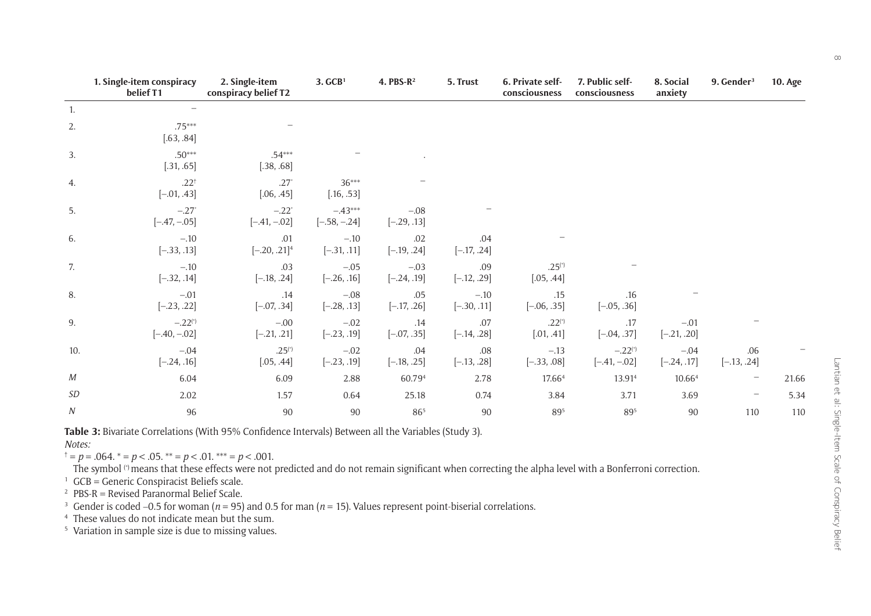|                            | 1. Single-item conspiracy<br>belief T1  | 2. Single-item<br>conspiracy belief T2 | 3. GCB <sup>1</sup>         | 4. PBS- $R^2$           | 5. Trust                | 6. Private self-<br>consciousness | 7. Public self-<br>consciousness        | 8. Social<br>anxiety    | 9. Gender <sup>3</sup> | <b>10. Age</b> |
|----------------------------|-----------------------------------------|----------------------------------------|-----------------------------|-------------------------|-------------------------|-----------------------------------|-----------------------------------------|-------------------------|------------------------|----------------|
| 1.                         |                                         |                                        |                             |                         |                         |                                   |                                         |                         |                        |                |
| 2.                         | $.75***$<br>[.63, .84]                  |                                        |                             |                         |                         |                                   |                                         |                         |                        |                |
| 3.                         | $.50***$<br>[.31, .65]                  | $.54***$<br>[.38, .68]                 |                             |                         |                         |                                   |                                         |                         |                        |                |
| 4.                         | $.22^{+}$<br>$[-.01, .43]$              | $.27*$<br>[.06, .45]                   | $36***$<br>[.16, .53]       |                         |                         |                                   |                                         |                         |                        |                |
| 5.                         | $-.27$ <sup>*</sup><br>$[-.47, -.05]$   | $-.22$ <sup>*</sup><br>$[-.41, -.02]$  | $-.43***$<br>$[-.58, -.24]$ | $-.08$<br>$[-.29, .13]$ |                         |                                   |                                         |                         |                        |                |
| 6.                         | $-.10$<br>$[-.33, .13]$                 | .01<br>$[-.20, .21]$ <sup>4</sup>      | $-.10$<br>$[-.31, .11]$     | .02<br>$[-.19, .24]$    | .04<br>$[-.17, .24]$    |                                   |                                         |                         |                        |                |
| 7.                         | $-.10$<br>$[-.32, .14]$                 | .03<br>$[-.18, .24]$                   | $-.05$<br>$[-.26, .16]$     | $-.03$<br>$[-.24, .19]$ | .09<br>$[-.12, .29]$    | $.25^{(*)}$<br>[.05, .44]         |                                         |                         |                        |                |
| 8.                         | $-.01$<br>$[-.23, .22]$                 | .14<br>$[-.07, .34]$                   | $-.08$<br>$[-.28, .13]$     | .05<br>$[-.17, .26]$    | $-.10$<br>$[-.30, .11]$ | .15<br>$[-.06, .35]$              | .16<br>$[-.05, .36]$                    |                         |                        |                |
| 9.                         | $-.22$ <sup>(*)</sup><br>$[-.40, -.02]$ | $-.00$<br>$[-.21, .21]$                | $-.02$<br>$[-.23, .19]$     | .14<br>$[-.07, .35]$    | .07<br>$[-.14, .28]$    | $.22^{(*)}$<br>[.01, .41]         | .17<br>$[-.04, .37]$                    | $-.01$<br>$[-.21, .20]$ |                        |                |
| 10.                        | $-.04$<br>$[-.24, .16]$                 | $.25^{(*)}$<br>[.05, .44]              | $-.02$<br>$[-.23, .19]$     | .04<br>$[-.18, .25]$    | $.08$<br>$[-.13, .28]$  | $-.13$<br>$[-.33, .08]$           | $-.22$ <sup>(*)</sup><br>$[-.41, -.02]$ | $-.04$<br>$[-.24, .17]$ | .06<br>$[-.13, .24]$   |                |
| М                          | 6.04                                    | 6.09                                   | 2.88                        | 60.794                  | 2.78                    | 17.664                            | 13.914                                  | 10.664                  | $\qquad \qquad -$      | 21.66          |
| $\ensuremath{\mathit{SD}}$ | 2.02                                    | 1.57                                   | 0.64                        | 25.18                   | 0.74                    | 3.84                              | 3.71                                    | 3.69                    |                        | 5.34           |
| ${\cal N}$                 | 96                                      | $90\,$                                 | 90                          | 865                     | $90\,$                  | $89^{\scriptscriptstyle{5}}$      | 895                                     | 90                      | 110                    | 110            |

**Table 3:** Bivariate Correlations (With 95% Confidence Intervals) Between all the Variables (Study 3).

*Notes:*

 $\psi^{\dagger} = p = .064. \psi^* = p < .05. \psi^* = p < .01. \psi^* = p < .001.$ 

The symbol  $(1)$  means that these effects were not predicted and do not remain significant when correcting the alpha level with a Bonferroni correction.

 $1$  GCB = Generic Conspiracist Beliefs scale.

<sup>2</sup> PBS-R = Revised Paranormal Belief Scale.

3 Gender is coded −0.5 for woman (*n* = 95) and 0.5 for man (*n* = 15). Values represent point-biserial correlations.

4 These values do not indicate mean but the sum.

<sup>5</sup> Variation in sample size is due to missing values.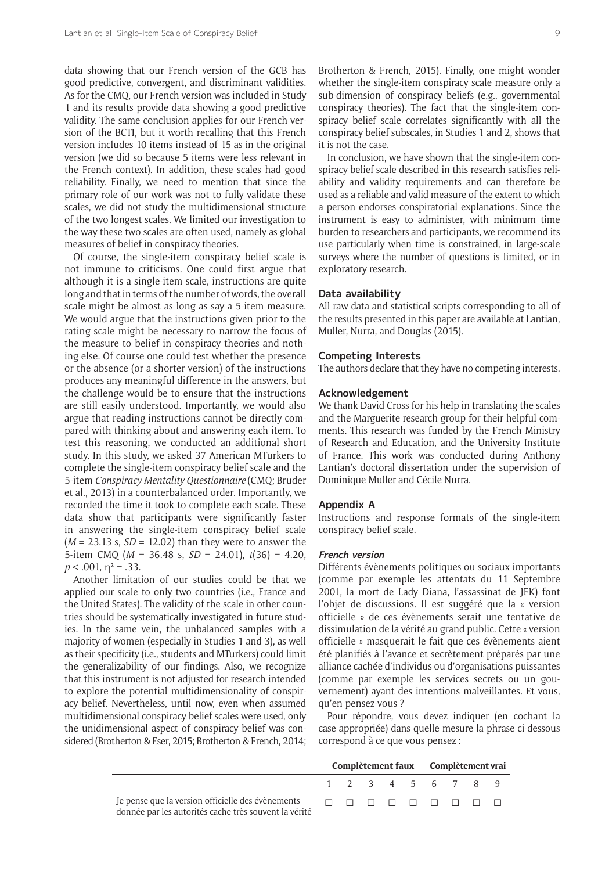data showing that our French version of the GCB has good predictive, convergent, and discriminant validities. As for the CMQ, our French version was included in Study 1 and its results provide data showing a good predictive validity. The same conclusion applies for our French version of the BCTI, but it worth recalling that this French version includes 10 items instead of 15 as in the original version (we did so because 5 items were less relevant in the French context). In addition, these scales had good reliability. Finally, we need to mention that since the primary role of our work was not to fully validate these scales, we did not study the multidimensional structure of the two longest scales. We limited our investigation to the way these two scales are often used, namely as global measures of belief in conspiracy theories.

Of course, the single-item conspiracy belief scale is not immune to criticisms. One could first argue that although it is a single-item scale, instructions are quite long and that in terms of the number of words, the overall scale might be almost as long as say a 5-item measure. We would argue that the instructions given prior to the rating scale might be necessary to narrow the focus of the measure to belief in conspiracy theories and nothing else. Of course one could test whether the presence or the absence (or a shorter version) of the instructions produces any meaningful difference in the answers, but the challenge would be to ensure that the instructions are still easily understood. Importantly, we would also argue that reading instructions cannot be directly compared with thinking about and answering each item. To test this reasoning, we conducted an additional short study. In this study, we asked 37 American MTurkers to complete the single-item conspiracy belief scale and the 5-item *Conspiracy Mentality Questionnaire* (CMQ; Bruder et al., 2013) in a counterbalanced order. Importantly, we recorded the time it took to complete each scale. These data show that participants were significantly faster in answering the single-item conspiracy belief scale (*M* = 23.13 s, *SD* = 12.02) than they were to answer the 5-item CMQ (*M* = 36.48 s, *SD* = 24.01), *t*(36) = 4.20,  $p < .001$ ,  $\eta^2 = .33$ .

Another limitation of our studies could be that we applied our scale to only two countries (i.e., France and the United States). The validity of the scale in other countries should be systematically investigated in future studies. In the same vein, the unbalanced samples with a majority of women (especially in Studies 1 and 3), as well as their specificity (i.e., students and MTurkers) could limit the generalizability of our findings. Also, we recognize that this instrument is not adjusted for research intended to explore the potential multidimensionality of conspiracy belief. Nevertheless, until now, even when assumed multidimensional conspiracy belief scales were used, only the unidimensional aspect of conspiracy belief was considered (Brotherton & Eser, 2015; Brotherton & French, 2014;

Brotherton & French, 2015). Finally, one might wonder whether the single-item conspiracy scale measure only a sub-dimension of conspiracy beliefs (e.g., governmental conspiracy theories). The fact that the single-item conspiracy belief scale correlates significantly with all the conspiracy belief subscales, in Studies 1 and 2, shows that it is not the case.

In conclusion, we have shown that the single-item conspiracy belief scale described in this research satisfies reliability and validity requirements and can therefore be used as a reliable and valid measure of the extent to which a person endorses conspiratorial explanations. Since the instrument is easy to administer, with minimum time burden to researchers and participants, we recommend its use particularly when time is constrained, in large-scale surveys where the number of questions is limited, or in exploratory research.

#### **Data availability**

All raw data and statistical scripts corresponding to all of the results presented in this paper are available at Lantian, Muller, Nurra, and Douglas (2015).

#### **Competing Interests**

The authors declare that they have no competing interests.

#### **Acknowledgement**

We thank David Cross for his help in translating the scales and the Marguerite research group for their helpful comments. This research was funded by the French Ministry of Research and Education, and the University Institute of France. This work was conducted during Anthony Lantian's doctoral dissertation under the supervision of Dominique Muller and Cécile Nurra.

#### **Appendix A**

Instructions and response formats of the single-item conspiracy belief scale.

#### **French version**

Différents évènements politiques ou sociaux importants (comme par exemple les attentats du 11 Septembre 2001, la mort de Lady Diana, l'assassinat de JFK) font l'objet de discussions. Il est suggéré que la « version officielle » de ces évènements serait une tentative de dissimulation de la vérité au grand public. Cette « version officielle » masquerait le fait que ces évènements aient été planifiés à l'avance et secrètement préparés par une alliance cachée d'individus ou d'organisations puissantes (comme par exemple les services secrets ou un gouvernement) ayant des intentions malveillantes. Et vous, quíen pensez-vous ?

Pour répondre, vous devez indiquer (en cochant la case appropriée) dans quelle mesure la phrase ci-dessous correspond à ce que vous pensez :

|                                                       | Complètement faux Complètement vrai |  |  |                   |  |  |  |  |
|-------------------------------------------------------|-------------------------------------|--|--|-------------------|--|--|--|--|
|                                                       |                                     |  |  | 1 2 3 4 5 6 7 8 9 |  |  |  |  |
| donnée par les autorités cache très souvent la vérité |                                     |  |  |                   |  |  |  |  |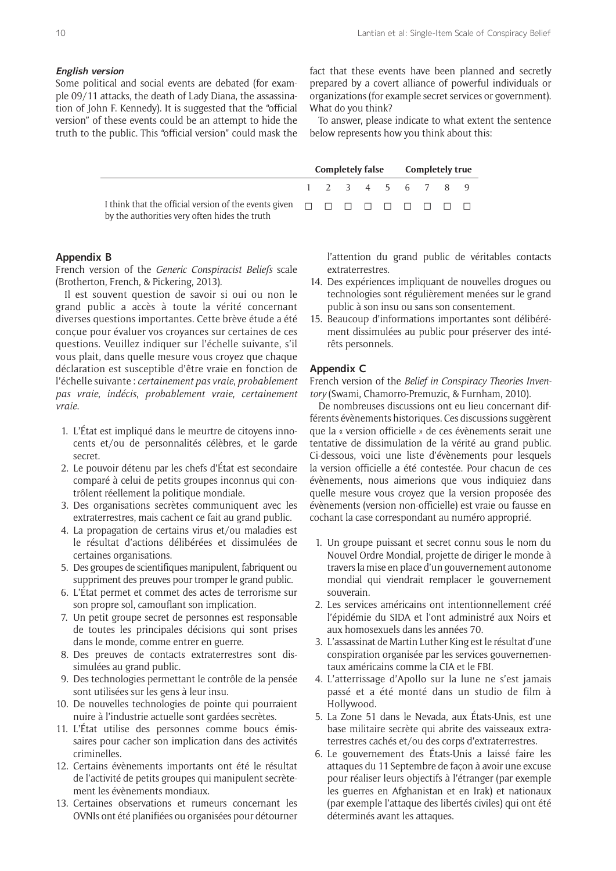#### **English version**

Some political and social events are debated (for example 09/11 attacks, the death of Lady Diana, the assassination of John F. Kennedy). It is suggested that the "official version" of these events could be an attempt to hide the truth to the public. This "official version" could mask the fact that these events have been planned and secretly prepared by a covert alliance of powerful individuals or organizations (for example secret services or government). What do you think?

To answer, please indicate to what extent the sentence below represents how you think about this:

**Completely false Completely true**

|                                               |  |  |  | 1 2 3 4 5 6 7 8 9 |  |
|-----------------------------------------------|--|--|--|-------------------|--|
| by the authorities very often hides the truth |  |  |  |                   |  |

#### **Appendix B**

French version of the *Generic Conspiracist Beliefs* scale (Brotherton, French, & Pickering, 2013).

Il est souvent question de savoir si oui ou non le grand public a accès à toute la vérité concernant diverses questions importantes. Cette brève étude a été conçue pour évaluer vos croyances sur certaines de ces questions. Veuillez indiquer sur l'échelle suivante, s'il vous plait, dans quelle mesure vous croyez que chaque déclaration est susceptible d'être vraie en fonction de l'échelle suivante : *certainement pas vraie*, *probablement pas vraie*, *indÈcis*, *probablement vraie*, *certainement vraie*.

- 1. L'État est impliqué dans le meurtre de citoyens innocents et/ou de personnalités célèbres, et le garde secret.
- 2. Le pouvoir détenu par les chefs d'État est secondaire comparé à celui de petits groupes inconnus qui contrôlent réellement la politique mondiale.
- 3. Des organisations secrètes communiquent avec les extraterrestres, mais cachent ce fait au grand public.
- 4. La propagation de certains virus et/ou maladies est le résultat d'actions délibérées et dissimulées de certaines organisations.
- 5. Des groupes de scientifiques manipulent, fabriquent ou suppriment des preuves pour tromper le grand public.
- 6. L'État permet et commet des actes de terrorisme sur son propre sol, camouflant son implication.
- 7. Un petit groupe secret de personnes est responsable de toutes les principales décisions qui sont prises dans le monde, comme entrer en guerre.
- 8. Des preuves de contacts extraterrestres sont dissimulées au grand public.
- 9. Des technologies permettant le contrôle de la pensée sont utilisées sur les gens à leur insu.
- 10. De nouvelles technologies de pointe qui pourraient nuire à l'industrie actuelle sont gardées secrètes.
- 11. L'État utilise des personnes comme boucs émissaires pour cacher son implication dans des activités criminelles.
- 12. Certains évènements importants ont été le résultat de l'activité de petits groupes qui manipulent secrètement les évènements mondiaux
- 13. Certaines observations et rumeurs concernant les OVNIs ont été planifiées ou organisées pour détourner

l'attention du grand public de véritables contacts extraterrestres.

- 14. Des expériences impliquant de nouvelles drogues ou technologies sont régulièrement menées sur le grand public à son insu ou sans son consentement.
- 15. Beaucoup d'informations importantes sont délibérément dissimulées au public pour préserver des intérêts personnels.

#### **Appendix C**

French version of the *Belief in Conspiracy Theories Inventory* (Swami, Chamorro-Premuzic, & Furnham, 2010).

De nombreuses discussions ont eu lieu concernant différents évènements historiques. Ces discussions suggèrent que la « version officielle » de ces évènements serait une tentative de dissimulation de la vérité au grand public. Ci-dessous, voici une liste d'évènements pour lesquels la version officielle a été contestée. Pour chacun de ces évènements, nous aimerions que vous indiquiez dans quelle mesure vous croyez que la version proposée des évènements (version non-officielle) est vraie ou fausse en cochant la case correspondant au numéro approprié.

- 1. Un groupe puissant et secret connu sous le nom du Nouvel Ordre Mondial, projette de diriger le monde à travers la mise en place d'un gouvernement autonome mondial qui viendrait remplacer le gouvernement souverain.
- 2. Les services américains ont intentionnellement créé l'épidémie du SIDA et l'ont administré aux Noirs et aux homosexuels dans les années 70.
- 3. L'assassinat de Martin Luther King est le résultat d'une conspiration organisée par les services gouvernementaux américains comme la CIA et le FBI.
- 4. Líatterrissage díApollo sur la lune ne síest jamais passé et a été monté dans un studio de film à Hollywood.
- 5. La Zone 51 dans le Nevada, aux États-Unis, est une base militaire secrète qui abrite des vaisseaux extraterrestres cachés et/ou des corps d'extraterrestres.
- 6. Le gouvernement des États-Unis a laissé faire les attaques du 11 Septembre de façon à avoir une excuse pour réaliser leurs objectifs à l'étranger (par exemple les guerres en Afghanistan et en Irak) et nationaux (par exemple l'attaque des libertés civiles) qui ont été déterminés avant les attaques.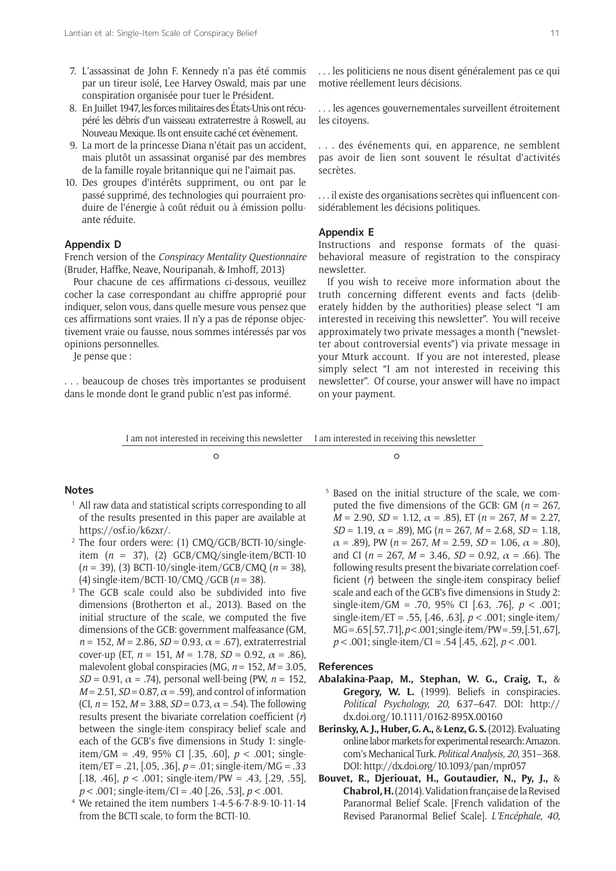- 7. L'assassinat de John F. Kennedy n'a pas été commis par un tireur isolé, Lee Harvey Oswald, mais par une conspiration organisée pour tuer le Président.
- 8. En Juillet 1947, les forces militaires des États-Unis ont récupéré les débris d'un vaisseau extraterrestre à Roswell, au Nouveau Mexique. Ils ont ensuite caché cet évènement.
- 9. La mort de la princesse Diana n'était pas un accident, mais plutôt un assassinat organisé par des membres de la famille royale britannique qui ne l'aimait pas.
- 10. Des groupes d'intérêts suppriment, ou ont par le passé supprimé, des technologies qui pourraient produire de l'énergie à coût réduit ou à émission polluante réduite.

#### **Appendix D**

French version of the *Conspiracy Mentality Questionnaire* (Bruder, Haffke, Neave, Nouripanah, & Imhoff, 2013)

Pour chacune de ces affirmations ci-dessous, veuillez cocher la case correspondant au chiffre approprié pour indiquer, selon vous, dans quelle mesure vous pensez que ces affirmations sont vraies. Il n'y a pas de réponse objectivement vraie ou fausse, nous sommes intéressés par vos opinions personnelles.

Je pense que :

... beaucoup de choses très importantes se produisent dans le monde dont le grand public n'est pas informé.

... les politiciens ne nous disent généralement pas ce qui motive réellement leurs décisions.

... les agences gouvernementales surveillent étroitement les citoyens.

. . . des ÈvÈnements qui, en apparence, ne semblent pas avoir de lien sont souvent le résultat d'activités secrètes

... il existe des organisations secrètes qui influencent considérablement les décisions politiques.

#### **Appendix E**

Instructions and response formats of the quasibehavioral measure of registration to the conspiracy newsletter.

If you wish to receive more information about the truth concerning different events and facts (deliberately hidden by the authorities) please select "I am interested in receiving this newsletter". You will receive approximately two private messages a month ("newsletter about controversial events") via private message in your Mturk account. If you are not interested, please simply select "I am not interested in receiving this newsletterî. Of course, your answer will have no impact on your payment.

I am not interested in receiving this newsletter I am interested in receiving this newsletter

 $\circ$   $\circ$ 

#### **Notes**

- <sup>1</sup> All raw data and statistical scripts corresponding to all of the results presented in this paper are available at [https://osf.io/k6zxr/.](https://osf.io/k6zxr/)
- <sup>2</sup> The four orders were: (1) CMQ/GCB/BCTI-10/singleitem  $(n = 37)$ , (2) GCB/CMQ/single-item/BCTI-10 (*n* = 39), (3) BCTI-10/single-item/GCB/CMQ (*n* = 38), (4) single-item/BCTI-10/CMQ /GCB (*n* = 38).
- <sup>3</sup> The GCB scale could also be subdivided into five dimensions (Brotherton et al., 2013). Based on the initial structure of the scale, we computed the five dimensions of the GCB: government malfeasance (GM,  $n = 152$ ,  $M = 2.86$ ,  $SD = 0.93$ ,  $\alpha = .67$ ), extraterrestrial cover-up (ET,  $n = 151$ ,  $M = 1.78$ ,  $SD = 0.92$ ,  $\alpha = .86$ ), malevolent global conspiracies (MG, *n* = 152, *M* = 3.05,  $SD = 0.91$ ,  $\alpha = .74$ ), personal well-being (PW,  $n = 152$ ,  $M = 2.51$ ,  $SD = 0.87$ ,  $\alpha = .59$ ), and control of information (CI,  $n = 152$ ,  $M = 3.88$ ,  $SD = 0.73$ ,  $\alpha = .54$ ). The following results present the bivariate correlation coefficient (*r*) between the single-item conspiracy belief scale and each of the GCB's five dimensions in Study 1: singleitem/GM = .49, 95% CI [.35, .60], *p* < .001; singleitem/ET = .21, [.05, .36], *p* = .01; single-item/MG = .33 [.18, .46], *p* < .001; single-item/PW = .43, [.29, .55], *p* < .001; single-item/CI = .40 [.26, .53], *p* < .001.
- <sup>4</sup>We retained the item numbers 1-4-5-6-7-8-9-10-11-14 from the BCTI scale, to form the BCTI-10.

 5 Based on the initial structure of the scale, we computed the five dimensions of the GCB: GM  $(n = 267)$ .  $M = 2.90$ ,  $SD = 1.12$ ,  $\alpha = .85$ ), ET ( $n = 267$ ,  $M = 2.27$ ,  $SD = 1.19$ ,  $\alpha = .89$ ), MG ( $n = 267$ ,  $M = 2.68$ ,  $SD = 1.18$ ,  $\alpha = .89$ ), PW ( $n = 267$ ,  $M = 2.59$ ,  $SD = 1.06$ ,  $\alpha = .80$ ), and CI ( $n = 267$ ,  $M = 3.46$ ,  $SD = 0.92$ ,  $\alpha = .66$ ). The following results present the bivariate correlation coefficient (*r*) between the single-item conspiracy belief scale and each of the GCB's five dimensions in Study 2: single-item/GM = .70, 95% CI [.63, .76], *p* < .001; single-item/ET = .55, [.46, .63], *p* < .001; single-item/ MG = .65 [.57, .71], *p* < .001; single-item/PW = .59, [.51, .67], *p* < .001; single-item/CI = .54 [.45, .62], *p* < .001.

#### **References**

- **Abalakina-Paap, M., Stephan, W. G., Craig, T.,** & **Gregory, W. L.** (1999). Beliefs in conspiracies. *Political Psychology, 20, 637-647. DOI: [http://](http://dx.doi.org/10.1111/0162-895X.00160)* [dx.doi.org/10.1111/0162-895X.00160](http://dx.doi.org/10.1111/0162-895X.00160)
- **Berinsky, A. J., Huber, G. A.,** & **Lenz, G. S.** (2012). Evaluating online labor markets for experimental research: Amazon. com's Mechanical Turk. *Political Analysis, 20*, 351-368. DOI: <http://dx.doi.org/10.1093/pan/mpr057>
- **Bouvet, R., Djeriouat, H., Goutaudier, N., Py, J.,** & **Chabrol, H.** (2014). Validation française de la Revised Paranormal Belief Scale. [French validation of the Revised Paranormal Belief Scale]. *L'Encéphale, 40*,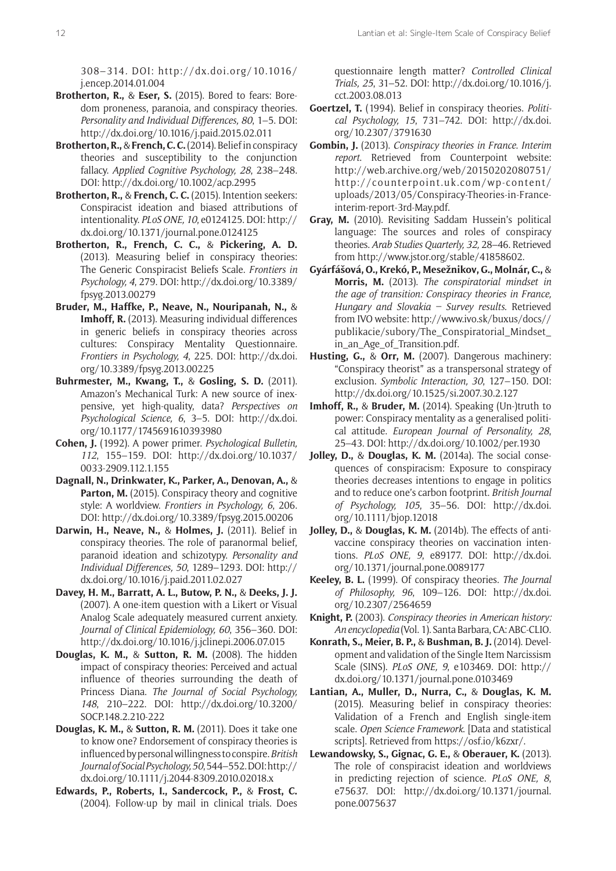308ñ314*.* DOI: [http://dx.doi.org/10.1016/](http://dx.doi.org/10.1016/j.encep.2014.01.004) [j.encep.2014.01.004](http://dx.doi.org/10.1016/j.encep.2014.01.004)

- **Brotherton, R.,** & **Eser, S.** (2015). Bored to fears: Boredom proneness, paranoia, and conspiracy theories. *Personality and Individual Differences, 80, 1-5. DOI:* <http://dx.doi.org/10.1016/j.paid.2015.02.011>
- **Brotherton, R.,** & **French, C. C.** (2014). Belief in conspiracy theories and susceptibility to the conjunction fallacy. *Applied Cognitive Psychology, 28, 238-248.* DOI: <http://dx.doi.org/10.1002/acp.2995>
- **Brotherton, R.,** & **French, C. C.** (2015). Intention seekers: Conspiracist ideation and biased attributions of intentionality. *PLoS ONE, 10*, e0124125. DOI: [http://](http://dx.doi.org/10.1371/journal.pone.0124125) [dx.doi.org/10.1371/journal.pone.0124125](http://dx.doi.org/10.1371/journal.pone.0124125)
- **Brotherton, R., French, C. C.,** & **Pickering, A. D.** (2013). Measuring belief in conspiracy theories: The Generic Conspiracist Beliefs Scale. *Frontiers in Psychology, 4*, 279. DOI: [http://dx.doi.org/10.3389/](http://dx.doi.org/10.3389/fpsyg.2013.00279) [fpsyg.2013.00279](http://dx.doi.org/10.3389/fpsyg.2013.00279)
- **Bruder, M., Haffke, P., Neave, N., Nouripanah, N.,** & **Imhoff, R.** (2013). Measuring individual differences in generic beliefs in conspiracy theories across cultures: Conspiracy Mentality Questionnaire. *Frontiers in Psychology, 4*, 225. DOI: [http://dx.doi.](http://dx.doi.org/10.3389/fpsyg.2013.00225) [org/10.3389/fpsyg.2013.00225](http://dx.doi.org/10.3389/fpsyg.2013.00225)
- **Buhrmester, M., Kwang, T.,** & **Gosling, S. D.** (2011). Amazon's Mechanical Turk: A new source of inexpensive, yet high-quality, data? *Perspectives on*  Psychological Science, 6, 3-5. DOI: [http://dx.doi.](http://dx.doi.org/10.1177/1745691610393980) [org/10.1177/1745691610393980](http://dx.doi.org/10.1177/1745691610393980)
- **Cohen, J.** (1992). A power primer. *Psychological Bulletin,* 112, 155-159. DOI: [http://dx.doi.org/10.1037/](http://dx.doi.org/10.1037/0033-2909.112.1.155) [0033-2909.112.1.155](http://dx.doi.org/10.1037/0033-2909.112.1.155)
- **Dagnall, N., Drinkwater, K., Parker, A., Denovan, A.,** & **Parton, M.** (2015). Conspiracy theory and cognitive style: A worldview. *Frontiers in Psychology, 6*, 206. DOI: <http://dx.doi.org/10.3389/fpsyg.2015.00206>
- **Darwin, H., Neave, N.,** & **Holmes, J.** (2011). Belief in conspiracy theories. The role of paranormal belief, paranoid ideation and schizotypy. *Personality and Individual Differences, 50, 1289-1293. DOI: [http://](http://dx.doi.org/10.1016/j.paid.2011.02.027)* [dx.doi.org/10.1016/j.paid.2011.02.027](http://dx.doi.org/10.1016/j.paid.2011.02.027)
- **Davey, H. M., Barratt, A. L., Butow, P. N.,** & **Deeks, J. J.** (2007). A one-item question with a Likert or Visual Analog Scale adequately measured current anxiety. *Journal of Clinical Epidemiology, 60, 356-360, DOI:* <http://dx.doi.org/10.1016/j.jclinepi.2006.07.015>
- **Douglas, K. M.,** & **Sutton, R. M.** (2008). The hidden impact of conspiracy theories: Perceived and actual influence of theories surrounding the death of Princess Diana. *The Journal of Social Psychology,* 148, 210-222. DOI: [http://dx.doi.org/10.3200/](http://dx.doi.org/10.3200/SOCP.148.2.210-222) [SOCP.148.2.210-222](http://dx.doi.org/10.3200/SOCP.148.2.210-222)
- **Douglas, K. M.,** & **Sutton, R. M.** (2011). Does it take one to know one? Endorsement of conspiracy theories is influenced by personal willingness to conspire. *British Journal of Social Psychology,50*, 544ñ552. DOI: [http://](http://dx.doi.org/10.1111/j.2044-8309.2010.02018.x) [dx.doi.org/10.1111/j.2044-8309.2010.02018.x](http://dx.doi.org/10.1111/j.2044-8309.2010.02018.x)
- **Edwards, P., Roberts, I., Sandercock, P.,** & **Frost, C.** (2004). Follow-up by mail in clinical trials. Does

questionnaire length matter? *Controlled Clinical Trials, 25, 31-52. DOI: [http://dx.doi.org/10.1016/j.](http://dx.doi.org/10.1016/j.cct.2003.08.013)* [cct.2003.08.013](http://dx.doi.org/10.1016/j.cct.2003.08.013)

- **Goertzel, T.** (1994). Belief in conspiracy theories. *Political Psychology, 15, 731-742. DOI: [http://dx.doi.](http://dx.doi.org/10.2307/3791630)* [org/10.2307/3791630](http://dx.doi.org/10.2307/3791630)
- **Gombin, J.** (2013). *Conspiracy theories in France*. *Interim report*. Retrieved from Counterpoint website: [http://web.archive.org/web/20150202080751/](http://web.archive.org/web/20150202080751/http://counterpoint.uk.com/wp-content/uploads/2013/05/Conspiracy-Theories-in-France-interim-report-3rd-May.pdf) [http://counterpoint.uk.com/wp-content/](http://web.archive.org/web/20150202080751/http://counterpoint.uk.com/wp-content/uploads/2013/05/Conspiracy-Theories-in-France-interim-report-3rd-May.pdf) [uploads/2013/05/Conspiracy-Theories-in-France](http://web.archive.org/web/20150202080751/http://counterpoint.uk.com/wp-content/uploads/2013/05/Conspiracy-Theories-in-France-interim-report-3rd-May.pdf)[interim-report-3rd-May.pdf.](http://web.archive.org/web/20150202080751/http://counterpoint.uk.com/wp-content/uploads/2013/05/Conspiracy-Theories-in-France-interim-report-3rd-May.pdf)
- Gray, M. (2010). Revisiting Saddam Hussein's political language: The sources and roles of conspiracy theories. *Arab Studies Quarterly, 32, 28*-46. Retrieved from <http://www.jstor.org/stable/41858602>.
- **Gyárfášová, O., Krekó, P., Mesežnikov, G., Molnár, C.,** & **Morris, M.** (2013). *The conspiratorial mindset in the age of transition: Conspiracy theories in France, Hungary and Slovakia - Survey results. Retrieved* from IVO website: [http://www.ivo.sk/buxus/docs//](http://www.ivo.sk/buxus/docs//publikacie/subory/The_Conspiratorial_Mindset_in_an_Age_of_Transition.pdf) [publikacie/subory/The\\_Conspiratorial\\_Mindset\\_](http://www.ivo.sk/buxus/docs//publikacie/subory/The_Conspiratorial_Mindset_in_an_Age_of_Transition.pdf) [in\\_an\\_Age\\_of\\_Transition.pdf.](http://www.ivo.sk/buxus/docs//publikacie/subory/The_Conspiratorial_Mindset_in_an_Age_of_Transition.pdf)
- **Husting, G.,** & **Orr, M.** (2007). Dangerous machinery: ìConspiracy theoristî as a transpersonal strategy of exclusion. *Symbolic Interaction, 30, 127-150. DOI:* <http://dx.doi.org/10.1525/si.2007.30.2.127>
- **Imhoff, R.,** & **Bruder, M.** (2014). Speaking (Un-)truth to power: Conspiracy mentality as a generalised political attitude. *European Journal of Personality, 28*, 25-43. DOI:<http://dx.doi.org/10.1002/per.1930>
- **Jolley, D.,** & **Douglas, K. M.** (2014a). The social consequences of conspiracism: Exposure to conspiracy theories decreases intentions to engage in politics and to reduce oneís carbon footprint. *British Journal of Psychology, 105, 35-56. DOI: [http://dx.doi.](http://dx.doi.org/10.1111/bjop.12018)* [org/10.1111/bjop.12018](http://dx.doi.org/10.1111/bjop.12018)
- **Jolley, D.,** & **Douglas, K. M.** (2014b). The effects of antivaccine conspiracy theories on vaccination intentions. *PLoS ONE, 9*, e89177. DOI: [http://dx.doi.](http://dx.doi.org/10.1371/journal.pone.0089177) [org/10.1371/journal.pone.0089177](http://dx.doi.org/10.1371/journal.pone.0089177)
- **Keeley, B. L.** (1999). Of conspiracy theories. *The Journal of Philosophy, 96, 109-126. DOI: [http://dx.doi.](http://dx.doi.org/10.2307/2564659)* [org/10.2307/2564659](http://dx.doi.org/10.2307/2564659)
- **Knight, P.** (2003). *Conspiracy theories in American history: An encyclopedia* (Vol. 1). Santa Barbara, CA: ABC-CLIO.
- **Konrath, S., Meier, B. P.,** & **Bushman, B. J.** (2014). Development and validation of the Single Item Narcissism Scale (SINS). *PLoS ONE, 9*, e103469. DOI: [http://](http://dx.doi.org/10.1371/journal.pone.0103469) [dx.doi.org/10.1371/journal.pone.0103469](http://dx.doi.org/10.1371/journal.pone.0103469)
- **Lantian, A., Muller, D., Nurra, C.,** & **Douglas, K. M.** (2015). Measuring belief in conspiracy theories: Validation of a French and English single-item scale. *Open Science Framework*. [Data and statistical scripts]. Retrieved from <https://osf.io/k6zxr/>.
- **Lewandowsky, S., Gignac, G. E.,** & **Oberauer, K.** (2013). The role of conspiracist ideation and worldviews in predicting rejection of science. *PLoS ONE, 8*, e75637. DOI: [http://dx.doi.org/10.1371/journal.](http://dx.doi.org/10.1371/journal.pone.0075637) [pone.0075637](http://dx.doi.org/10.1371/journal.pone.0075637)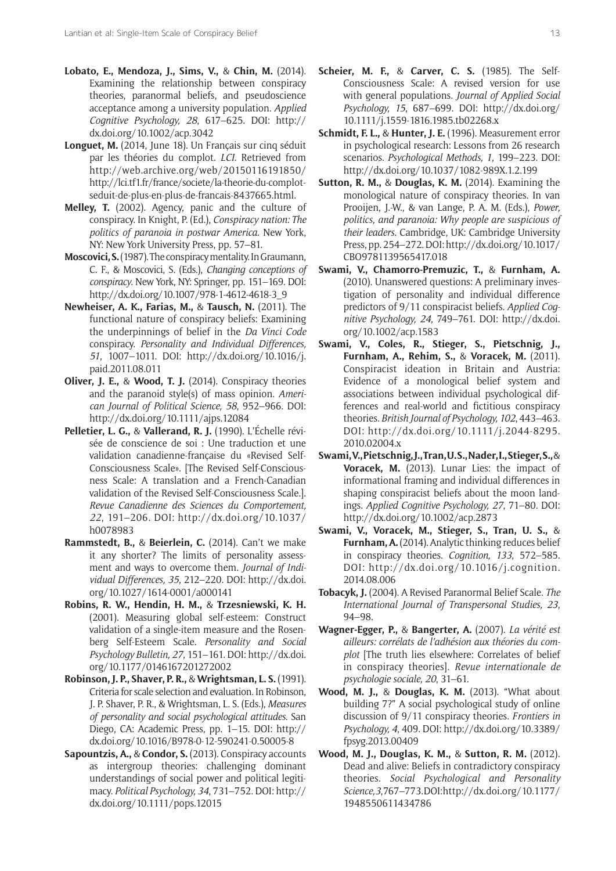- **Lobato, E., Mendoza, J., Sims, V.,** & **Chin, M.** (2014). Examining the relationship between conspiracy theories, paranormal beliefs, and pseudoscience acceptance among a university population. *Applied Cognitive Psychology, 28, 617-625. DOI: [http://](http://dx.doi.org/10.1002/acp.3042)* [dx.doi.org/10.1002/acp.3042](http://dx.doi.org/10.1002/acp.3042)
- Longuet, M. (2014, June 18). Un Français sur cinq séduit par les théories du complot. *LCI*. Retrieved from [http://web.archive.org/web/20150116191850/](http://web.archive.org/web/20150116191850/http://lci.tf1.fr/france/societe/la-theorie-du-complot-seduit-de-plus-en-plus-de-francais-8437665.html) [http://lci.tf1.fr/france/societe/la-theorie-du-complot](http://web.archive.org/web/20150116191850/http://lci.tf1.fr/france/societe/la-theorie-du-complot-seduit-de-plus-en-plus-de-francais-8437665.html)[seduit-de-plus-en-plus-de-francais-8437665.html](http://web.archive.org/web/20150116191850/http://lci.tf1.fr/france/societe/la-theorie-du-complot-seduit-de-plus-en-plus-de-francais-8437665.html).
- **Melley, T.** (2002). Agency, panic and the culture of conspiracy. In Knight, P. (Ed.), *Conspiracy nation: The politics of paranoia in postwar America*. New York, NY: New York University Press, pp. 57-81.
- **Moscovici, S.** (1987). The conspiracy mentality. In Graumann, C. F., & Moscovici, S. (Eds.), *Changing conceptions of conspiracy*. New York, NY: Springer, pp. 151–169. DOI: [http://dx.doi.org/10.1007/978-1-4612-4618-3\\_9](http://dx.doi.org/10.1007/978-1-4612-4618-3_9)
- **Newheiser, A. K., Farias, M.,** & **Tausch, N.** (2011). The functional nature of conspiracy beliefs: Examining the underpinnings of belief in the *Da Vinci Code* conspiracy. *Personality and Individual Differences, 51*, 1007-1011. DOI: [http://dx.doi.org/10.1016/j.](http://dx.doi.org/10.1016/j.paid.2011.08.011) [paid.2011.08.011](http://dx.doi.org/10.1016/j.paid.2011.08.011)
- **Oliver, J. E.,** & **Wood, T. J.** (2014). Conspiracy theories and the paranoid style(s) of mass opinion. *American Journal of Political Science, 58, 952-966. DOI:* <http://dx.doi.org/10.1111/ajps.12084>
- **Pelletier, L. G., & Vallerand, R. J.** (1990). L'Échelle révisée de conscience de soi : Une traduction et une validation canadienne-française du «Revised Self-Consciousness Scale». [The Revised Self-Consciousness Scale: A translation and a French-Canadian validation of the Revised Self-Consciousness Scale.]. *Revue Canadienne des Sciences du Comportement,* 22, 191-206. DOI: [http://dx.doi.org/10.1037/](http://dx.doi.org/10.1037/h0078983) [h0078983](http://dx.doi.org/10.1037/h0078983)
- **Rammstedt, B., & Beierlein, C.** (2014). Can't we make it any shorter? The limits of personality assessment and ways to overcome them. *Journal of Individual Differences, 35, 212–220. DOI: [http://dx.doi.](http://dx.doi.org/10.1027/1614-0001/a000141)* [org/10.1027/1614-0001/a000141](http://dx.doi.org/10.1027/1614-0001/a000141)
- **Robins, R. W., Hendin, H. M.,** & **Trzesniewski, K. H.** (2001). Measuring global self-esteem: Construct validation of a single-item measure and the Rosenberg Self-Esteem Scale. *Personality and Social Psychology Bulletin, 27, 151-161. DOI: [http://dx.doi.](http://dx.doi.org/10.1177/0146167201272002)* [org/10.1177/0146167201272002](http://dx.doi.org/10.1177/0146167201272002)
- **Robinson, J. P., Shaver, P. R.,** & **Wrightsman, L. S.** (1991). Criteria for scale selection and evaluation. In Robinson, J. P. Shaver, P. R., & Wrightsman, L. S. (Eds.), *Measures of personality and social psychological attitudes*. San Diego, CA: Academic Press, pp. 1–15. DOI: [http://](http://dx.doi.org/10.1016/B978-0-12-590241-0.50005-8) [dx.doi.org/10.1016/B978-0-12-590241-0.50005-8](http://dx.doi.org/10.1016/B978-0-12-590241-0.50005-8)
- **Sapountzis, A.,** & **Condor, S.** (2013). Conspiracy accounts as intergroup theories: challenging dominant understandings of social power and political legitimacy. *Political Psychology, 34, 731-752. DOI: [http://](http://dx.doi.org/10.1111/pops.12015)* [dx.doi.org/10.1111/pops.12015](http://dx.doi.org/10.1111/pops.12015)
- **Scheier, M. F.,** & **Carver, C. S.** (1985). The Self-Consciousness Scale: A revised version for use with general populations. *Journal of Applied Social Psychology, 15, 687-699. DOI: [http://dx.doi.org/](http://dx.doi.org/10.1111/j.1559-1816.1985.tb02268.x)* [10.1111/j.1559-1816.1985.tb02268.x](http://dx.doi.org/10.1111/j.1559-1816.1985.tb02268.x)
- **Schmidt, F. L.,** & **Hunter, J. E.** (1996). Measurement error in psychological research: Lessons from 26 research scenarios. *Psychological Methods, 1*, 199-223. DOI: <http://dx.doi.org/10.1037/1082-989X.1.2.199>
- **Sutton, R. M.,** & **Douglas, K. M.** (2014). Examining the monological nature of conspiracy theories. In van Prooijen, J.-W., & van Lange, P. A. M. (Eds.), *Power, politics, and paranoia: Why people are suspicious of their leaders*. Cambridge, UK: Cambridge University Press, pp. 254–272. DOI: [http://dx.doi.org/10.1017/](http://dx.doi.org/10.1017/CBO9781139565417.018) [CBO9781139565417.018](http://dx.doi.org/10.1017/CBO9781139565417.018)
- **Swami, V., Chamorro-Premuzic, T.,** & **Furnham, A.** (2010). Unanswered questions: A preliminary investigation of personality and individual difference predictors of 9/11 conspiracist beliefs. *Applied Cognitive Psychology, 24, 749-761. DOI: [http://dx.doi.](http://dx.doi.org/10.1002/acp.1583)* [org/10.1002/acp.1583](http://dx.doi.org/10.1002/acp.1583)
- **Swami, V., Coles, R., Stieger, S., Pietschnig, J., Furnham, A., Rehim, S.,** & **Voracek, M.** (2011). Conspiracist ideation in Britain and Austria: Evidence of a monological belief system and associations between individual psychological differences and real-world and fictitious conspiracy theories. *British Journal of Psychology, 102, 443-463.* DOI: [http://dx.doi.org/10.1111/j.2044-8295.](http://dx.doi.org/10.1111/j.2044-8295.2010.02004.x) [2010.02004.x](http://dx.doi.org/10.1111/j.2044-8295.2010.02004.x)
- **Swami, V., Pietschnig, J., Tran, U. S., Nader, I., Stieger, S.,** & **Voracek, M.** (2013). Lunar Lies: the impact of informational framing and individual differences in shaping conspiracist beliefs about the moon landings. *Applied Cognitive Psychology, 27, 71–80. DOI:* <http://dx.doi.org/10.1002/acp.2873>
- **Swami, V., Voracek, M., Stieger, S., Tran, U. S.,** & **Furnham, A.** (2014). Analytic thinking reduces belief in conspiracy theories. *Cognition*, 133, 572-585. DOI: [http://dx.doi.org/10.1016/j.cognition.](http://dx.doi.org/10.1016/j.cognition.2014.08.006) [2014.08.006](http://dx.doi.org/10.1016/j.cognition.2014.08.006)
- **Tobacyk, J.** (2004). A Revised Paranormal Belief Scale. *The International Journal of Transpersonal Studies, 23*, 94-98.
- **Wagner-Egger, P.,** & **Bangerter, A.** (2007). *La vÈritÈ est*  ailleurs: corrélats de l'adhésion aux théories du com*plot* [The truth lies elsewhere: Correlates of belief in conspiracy theories]. *Revue internationale de psychologie sociale, 20, 31-61.*
- **Wood, M. J., & Douglas, K. M.** (2013). "What about building 7?" A social psychological study of online discussion of 9/11 conspiracy theories. *Frontiers in Psychology, 4*, 409. DOI: [http://dx.doi.org/10.3389/](http://dx.doi.org/10.3389/fpsyg.2013.00409) [fpsyg.2013.00409](http://dx.doi.org/10.3389/fpsyg.2013.00409)
- **Wood, M. J., Douglas, K. M.,** & **Sutton, R. M.** (2012). Dead and alive: Beliefs in contradictory conspiracy theories. *Social Psychological and Personality Science,3*, 767ñ773. DOI: [http://dx.doi.org/10.1177/](http://dx.doi.org/10.1177/1948550611434786) [1948550611434786](http://dx.doi.org/10.1177/1948550611434786)